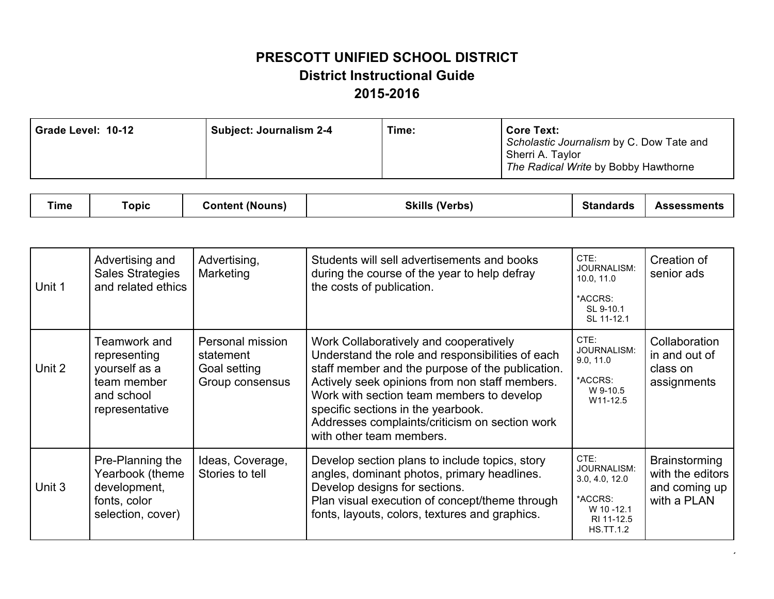| Time:<br><b>Subject: Journalism 2-4</b><br>Grade Level: 10-12 | <b>Core Text:</b><br>Scholastic Journalism by C. Dow Tate and<br>Sherri A. Taylor<br>The Radical Write by Bobby Hawthorne |
|---------------------------------------------------------------|---------------------------------------------------------------------------------------------------------------------------|
|---------------------------------------------------------------|---------------------------------------------------------------------------------------------------------------------------|

| <b>The Contract of Contract Contract</b><br>™e | <b>ODIC</b> | Content (Nouns) | <b>Skills (Verbs)</b> | <b>Standards</b> | Assessments |
|------------------------------------------------|-------------|-----------------|-----------------------|------------------|-------------|
|------------------------------------------------|-------------|-----------------|-----------------------|------------------|-------------|

| Unit 1 | Advertising and<br><b>Sales Strategies</b><br>and related ethics                             | Advertising,<br>Marketing                                        | Students will sell advertisements and books<br>during the course of the year to help defray<br>the costs of publication.                                                                                                                                                                                                                                          | CTE:<br>JOURNALISM:<br>10.0, 11.0<br>*ACCRS:<br>SL 9-10.1<br>SL 11-12.1                         | Creation of<br>senior ads                                         |
|--------|----------------------------------------------------------------------------------------------|------------------------------------------------------------------|-------------------------------------------------------------------------------------------------------------------------------------------------------------------------------------------------------------------------------------------------------------------------------------------------------------------------------------------------------------------|-------------------------------------------------------------------------------------------------|-------------------------------------------------------------------|
| Unit 2 | Teamwork and<br>representing<br>yourself as a<br>team member<br>and school<br>representative | Personal mission<br>statement<br>Goal setting<br>Group consensus | Work Collaboratively and cooperatively<br>Understand the role and responsibilities of each<br>staff member and the purpose of the publication.<br>Actively seek opinions from non staff members.<br>Work with section team members to develop<br>specific sections in the yearbook.<br>Addresses complaints/criticism on section work<br>with other team members. | CTE:<br>JOURNALISM:<br>9.0, 11.0<br>*ACCRS:<br>W 9-10.5<br>W11-12.5                             | Collaboration<br>in and out of<br>class on<br>assignments         |
| Unit 3 | Pre-Planning the<br>Yearbook (theme<br>development,<br>fonts, color<br>selection, cover)     | Ideas, Coverage,<br>Stories to tell                              | Develop section plans to include topics, story<br>angles, dominant photos, primary headlines.<br>Develop designs for sections.<br>Plan visual execution of concept/theme through<br>fonts, layouts, colors, textures and graphics.                                                                                                                                | CTE:<br>JOURNALISM:<br>3.0, 4.0, 12.0<br>*ACCRS:<br>W 10-12.1<br>RI 11-12.5<br><b>HS.TT.1.2</b> | Brainstorming<br>with the editors<br>and coming up<br>with a PLAN |

 $\cdot$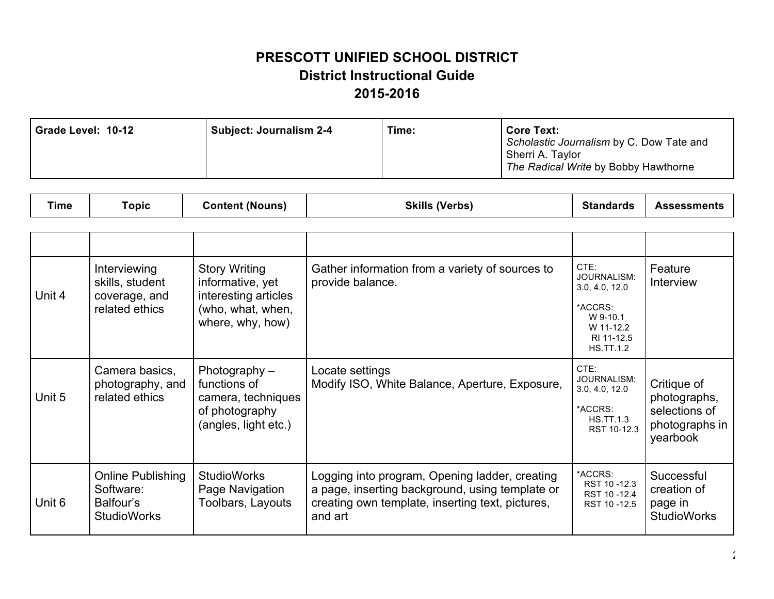| Grade Level: 10-12<br><b>Subject: Journalism 2-4</b> | Time: | <b>Core Text:</b><br>Scholastic Journalism by C. Dow Tate and<br>Sherri A. Taylor<br>The Radical Write by Bobby Hawthorne |
|------------------------------------------------------|-------|---------------------------------------------------------------------------------------------------------------------------|
|------------------------------------------------------|-------|---------------------------------------------------------------------------------------------------------------------------|

| ⊺ime | ⊺opic | (Nouns<br><b>ontent</b> | (Verbs)<br>Skills | GL.<br>andards<br>ы. | Assessments |
|------|-------|-------------------------|-------------------|----------------------|-------------|
|------|-------|-------------------------|-------------------|----------------------|-------------|

| Unit 4 | Interviewing<br>skills, student<br>coverage, and<br>related ethics       | <b>Story Writing</b><br>informative, yet<br>interesting articles<br>(who, what, when,<br>where, why, how) | Gather information from a variety of sources to<br>provide balance.                                                                                              | CTE:<br>JOURNALISM:<br>3.0, 4.0, 12.0<br>*ACCRS:<br>W 9-10.1<br>W 11-12.2<br>RI 11-12.5<br><b>HS.TT.1.2</b> | Feature<br>Interview                                                       |
|--------|--------------------------------------------------------------------------|-----------------------------------------------------------------------------------------------------------|------------------------------------------------------------------------------------------------------------------------------------------------------------------|-------------------------------------------------------------------------------------------------------------|----------------------------------------------------------------------------|
| Unit 5 | Camera basics,<br>photography, and<br>related ethics                     | Photography –<br>functions of<br>camera, techniques<br>of photography<br>(angles, light etc.)             | Locate settings<br>Modify ISO, White Balance, Aperture, Exposure,                                                                                                | CTE:<br>JOURNALISM:<br>3.0, 4.0, 12.0<br>*ACCRS:<br><b>HS.TT.1.3</b><br>RST 10-12.3                         | Critique of<br>photographs,<br>selections of<br>photographs in<br>yearbook |
| Unit 6 | <b>Online Publishing</b><br>Software:<br>Balfour's<br><b>StudioWorks</b> | <b>StudioWorks</b><br>Page Navigation<br>Toolbars, Layouts                                                | Logging into program, Opening ladder, creating<br>a page, inserting background, using template or<br>creating own template, inserting text, pictures,<br>and art | *ACCRS:<br>RST 10-12.3<br>RST 10-12.4<br>RST 10-12.5                                                        | Successful<br>creation of<br>page in<br><b>StudioWorks</b>                 |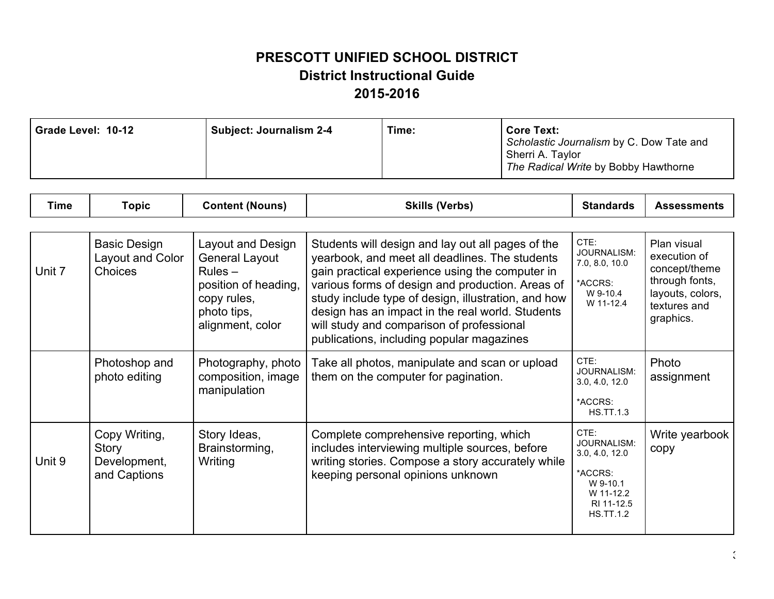| Grade Level: 10-12 | <b>Subject: Journalism 2-4</b> | Time: | <b>Core Text:</b><br>Scholastic Journalism by C. Dow Tate and<br>Sherri A. Taylor<br>The Radical Write by Bobby Hawthorne |
|--------------------|--------------------------------|-------|---------------------------------------------------------------------------------------------------------------------------|
|--------------------|--------------------------------|-------|---------------------------------------------------------------------------------------------------------------------------|

| <b>Time</b> | <b>Topic</b>                                                  | <b>Content (Nouns)</b>                                                                                                            | <b>Skills (Verbs)</b>                                                                                                                                                                                                                                                                                                                                                                                           | <b>Standards</b>                                                                                            | <b>Assessments</b>                                                                                              |
|-------------|---------------------------------------------------------------|-----------------------------------------------------------------------------------------------------------------------------------|-----------------------------------------------------------------------------------------------------------------------------------------------------------------------------------------------------------------------------------------------------------------------------------------------------------------------------------------------------------------------------------------------------------------|-------------------------------------------------------------------------------------------------------------|-----------------------------------------------------------------------------------------------------------------|
|             |                                                               |                                                                                                                                   |                                                                                                                                                                                                                                                                                                                                                                                                                 |                                                                                                             |                                                                                                                 |
| Unit 7      | <b>Basic Design</b><br>Layout and Color<br><b>Choices</b>     | Layout and Design<br><b>General Layout</b><br>$Rules -$<br>position of heading,<br>copy rules,<br>photo tips,<br>alignment, color | Students will design and lay out all pages of the<br>yearbook, and meet all deadlines. The students<br>gain practical experience using the computer in<br>various forms of design and production. Areas of<br>study include type of design, illustration, and how<br>design has an impact in the real world. Students<br>will study and comparison of professional<br>publications, including popular magazines | CTE:<br>JOURNALISM:<br>7.0, 8.0, 10.0<br>*ACCRS:<br>W 9-10.4<br>W 11-12.4                                   | Plan visual<br>execution of<br>concept/theme<br>through fonts,<br>layouts, colors,<br>textures and<br>graphics. |
|             | Photoshop and<br>photo editing                                | Photography, photo<br>composition, image<br>manipulation                                                                          | Take all photos, manipulate and scan or upload<br>them on the computer for pagination.                                                                                                                                                                                                                                                                                                                          | CTE:<br>JOURNALISM:<br>3.0, 4.0, 12.0<br>*ACCRS:<br><b>HS.TT.1.3</b>                                        | Photo<br>assignment                                                                                             |
| Unit 9      | Copy Writing,<br><b>Story</b><br>Development,<br>and Captions | Story Ideas,<br>Brainstorming,<br>Writing                                                                                         | Complete comprehensive reporting, which<br>includes interviewing multiple sources, before<br>writing stories. Compose a story accurately while<br>keeping personal opinions unknown                                                                                                                                                                                                                             | CTE:<br>JOURNALISM:<br>3.0, 4.0, 12.0<br>*ACCRS:<br>W 9-10.1<br>W 11-12.2<br>RI 11-12.5<br><b>HS.TT.1.2</b> | Write yearbook<br>copy                                                                                          |